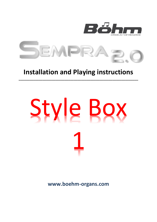

# **Installation and Playing instructions**

**\_\_\_\_\_\_\_\_\_\_\_\_\_\_\_\_\_\_\_\_\_\_\_\_\_\_\_\_\_\_\_\_\_\_\_\_\_\_\_\_\_\_\_\_\_\_\_\_\_\_\_\_\_\_\_\_\_\_\_\_\_\_\_\_\_**

# Style Box 1

**www.boehm-organs.com**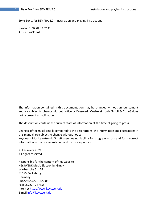Style Box 1 for SEMPRA 2.0 – installation and playing instructions

Version 1.00, 09.12.2021 Art.-Nr. 42395AE

The information contained in this documentation may be changed without announcement and are subject to change without notice by Keyswerk Musikelektronik GmbH & Co. KG does not represent an obligation.

The description contains the current state of information at the time of going to press.

Changes of technical details compared to the descriptions, the information and illustrations in this manual are subject to change without notice.

Keyswerk Musikelektronik GmbH assumes no liability for program errors and for incorrect information in the documentation and its consequences.

© Keyswerk 2021 All rights reserved

Responsible for the content of this website KEYSWERK Music Electronics GmbH Warbersche Str. 32 31675 Bückeburg Germany Phone: 05722 - 905088 Fax: 05722 - 287555 Internet http://www.keyswerk.de E-mail info@keyswerk.de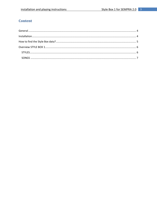# **Content**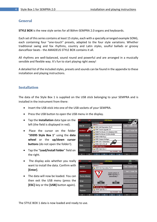### <span id="page-3-0"></span>**General**

**STYLE BOX** is the new style series for all Böhm-SEMPRA 2.0 organs and keyboards.

Each set of this series contains at least 15 styles, each with a specially arranged example SONG, each containing four "one-touch" presets, adapted to the four style variations. Whether traditional swing and fox rhythms, country and Latin styles, soulful ballads or groovy dancefloor beats - the AMADEUS STYLE BOX contains it all.

All rhythms are well-balanced, sound round and powerful and are arranged in a musically sensible and flexible way. It's fun to start playing right away!

A detailed list of the included styles, presets and sounds can be found in the appendix to these installation and playing instructions.

### <span id="page-3-1"></span>**Installation**

The data of the Style Box 1 is supplied on the USB stick belonging to your SEMPRA and is installed in the instrument from there:

- Insert the USB stick into one of the USB sockets of your SEMPRA.
- Press the USB button to open the USB menu in the display.
- Tap the **Installation** data type on the left (the field is displayed in red).
- Place the cursor on the folder "**59395 Style Box 1**" using the **data wheel** or the **up/down cursor buttons** (do not open the folder!).
- Tap the "**Load/Install folder**" field on the right.
- The display asks whether you really want to install the data. Confirm with **[Enter]**.
- The data will now be loaded. You can then exit the USB menu (press the **[ESC]** key or the **[USB]** button again).





The STYLE BOX 1 data is now loaded and ready to use.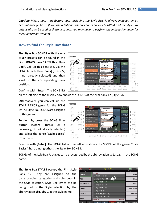*Caution: Please note that factory data, including the Style Box, is always installed on an account-specific basis. If you use additional user accounts on your SEMPRA and the Style Box data is also to be used in these accounts, you may have to perform the installation again for these additional accounts!* 

### <span id="page-4-0"></span>**How to find the Style Box data?**

The **Style Box SONGS** with the one touch presets can be found in the Firm **SONGS bank 12 "St.Bas. Style Box"**. Call up this bank e.g. via the SONG filter button **[Bank]** (press 2x, if not already selected) and then scroll to the corresponding bank position.



Confirm with **[Enter]**. The SONG list

on the left side of the display now shows the SONGs of the firm bank 12 (Style Box.

Alternatively, you can call up the **STYLE BASICS** genre for the SONG list. All Style Box SONGS are assigned to this genre.

To do this, press the SONG filter button **[Genre]** (press 2x if necessary, if not already selected) and select the genre **"Style Basics"** from the list.

| SONG FILTER                                |                                                                                |                                       |                                            |              |
|--------------------------------------------|--------------------------------------------------------------------------------|---------------------------------------|--------------------------------------------|--------------|
| No Filter                                  | $\mathbf{E}$ $\mathbf{E}$                                                      | «Samha Ornana - ch1»<br>Bitte wählen: | 11:09<br>m                                 |              |
|                                            | <b>Style-Basics</b>                                                            | Unterhaltung                          | Semba Organa - sb1                         |              |
| Bank<br>D<br>⋾                             | 05 Disco-Fox - sb1<br>Uppe<br>Stilles, Stille-Bac.<br><b>Discotox</b>          | Klassik                               | Trump.1 a<br>Variation 1<br>Real Organ     |              |
|                                            | 06 Jazz Brush - sb1<br>Uppe                                                    | Theaterorgel                          | Variation 2                                |              |
| D<br>$\mathbf{L}_i$<br>Style               | StBes StreBac<br>Swingfazz                                                     | Kirche/Worship                        | Roof Organ                                 |              |
|                                            | Low<br>Ea<br>07 Kingdom Pop - sb1                                              | Weihnachten                           | Variation 3                                |              |
| Genre                                      | Low<br>Stilles, Style-Dax<br>Discoford                                         | Sound-Basics                          | Real Organ                                 | ∢            |
| D                                          | 08 Pop Ballad 1 - sb1<br>Peda<br>On                                            | <b>Style-Basics</b><br>Eigene 1       | Variation 4                                | ∢            |
|                                            | StBut Style Box<br><b>Reviewal</b><br>Styl                                     | Eigene 2                              | Real Organ                                 |              |
| <b>Albam</b><br>$\mathcal{T}$ .            | 09 Samba Organa - sb1<br>$s_{\epsilon}$<br>Ton.<br>Stiles Style Day<br>Spezial | Eigene 3                              | Variation 5                                | ∢            |
|                                            | 10 Swing Movie - sb1                                                           | <b>Übernehme</b><br>Abbrechen         |                                            |              |
| D<br>$\mathbf{r}^{\mathrm{d}}$<br>Couple 1 | StBes Style-Box<br>Swingtlazz                                                  | Esc<br>Enter                          | Variation 6<br>Tektert<br>4/4              |              |
| C.B                                        | Lets go<br>×<br>≪                                                              | Party 2<br>Birds 1                    | Glocke 3<br><b>FX-Rotor</b><br>Rotor slifs | Shift Lock   |
| Couple 2                                   | △                                                                              |                                       | ⌒                                          |              |
| Tempo-<br>Tempo                            |                                                                                |                                       |                                            | Shift<br>CT. |

Confirm with **[Enter]**. The SONG list on the left now shows the SONGS of the genre "Style Basics", here among others the Style Box SONGS.

SONGS of the Style Box Packages can be recognized by the abbreviation sb1, sb2... in the SONG name.

The **Style Box STYLES** occupy the Firm Style Bank 12. They are assigned to the corresponding categories and subgroups in the Style selection. Style Box Styles can be recognized in the Style selection by the abbreviation **sb1, sb2**... in the style name.

| ि<br>页          | Style wählen                                            | 11:20<br>m     |
|-----------------|---------------------------------------------------------|----------------|
| Kategorie       |                                                         | Gruppe         |
| Pop/Beat        | <b>Style-Box</b>                                        | 8-Beat         |
| R&B             | 001: Ballad Piano - sb1<br>007: Kingdom Pop - sb1<br>烦  | 16-Beat        |
| Dance/Modern    | 008: Pop Ballad 1 - sb1<br>011: Simple Beat - sb1       | <b>Ballade</b> |
| <b>Discofox</b> | 013: Pop Ballad 2 - sb1<br>014: Pop Beat - sb1          | Pop '80 /'90   |
| Jive/R'n'R      | 018: Romantic Ballad - sb2                              | Unplugged      |
| Latein          | 026: Pop Beat Guitar - sb2<br>Taktart: 4/4<br>Tempo: 86 | Titel          |
|                 |                                                         |                |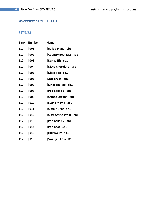## <span id="page-5-0"></span>**Overview STYLE BOX 1**

### <span id="page-5-1"></span>**STYLES**

| Bank | <b>Number</b> | <b>Name</b>                    |
|------|---------------|--------------------------------|
| 112  | 001           | <b>Ballad Piano - sb1</b>      |
| 112  | 002           | Country Beat fast - sb1        |
| 112  | 003           | Dance Hit - sb1                |
| 112  | 004           | Disco Chocolate - sb1          |
| 112  | 005           | Disco-Fox - sb1                |
| 112  | 006           | Jazz Brush - sb1               |
| 112  | 007           | Kingdom Pop - sb1              |
| 112  | 008           | Pop Ballad 1 - sb1             |
| 112  | 1009          | Samba Organa - sb1             |
| 112  | 010           | <b>Swing Movie - sb1</b>       |
| 112  | 011           | Simple Beat - sb1              |
| 112  | 012           | <b>Slow String-Waltz - sb1</b> |
| 112  | 013           | <b>Pop Ballad 2 - sb1</b>      |
| 112  | 014           | <b>Pop Beat - sb1</b>          |
| 112  | 015           | HullyGully - sb1               |
| 112  | 016           | <b>Swingin</b> Easy SB1        |
|      |               |                                |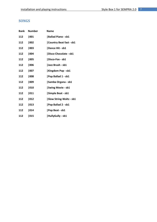### <span id="page-6-0"></span>**SONGS**

| Bank | <b>Number</b> | <b>Name</b>                    |
|------|---------------|--------------------------------|
| 112  | 001           | Ballad Piano - sb1             |
| 112  | 002           | Country Beat fast - sb1        |
| 112  | 003           | Dance Hit - sb1                |
| 112  | 004           | Disco Chocolate - sb1          |
| 112  | 005           | Disco-Fox - sb1                |
| 112  | 006           | Jazz Brush - sb1               |
| 112  | 007           | Kingdom Pop - sb1              |
| 112  | 008           | <b>Pop Ballad 1 - sb1</b>      |
| 112  | 009           | Samba Organa - sb1             |
| 112  | 010           | <b>Swing Movie - sb1</b>       |
| 112  | 011           | Simple Beat - sb1              |
| 112  | 012           | <b>Slow String-Waltz - sb1</b> |
| 112  | 013           | Pop Ballad 2 - sb1             |
| 112  | 014           | <b>Pop Beat - sb1</b>          |
| 112  | 015           | HullyGully - sb1               |